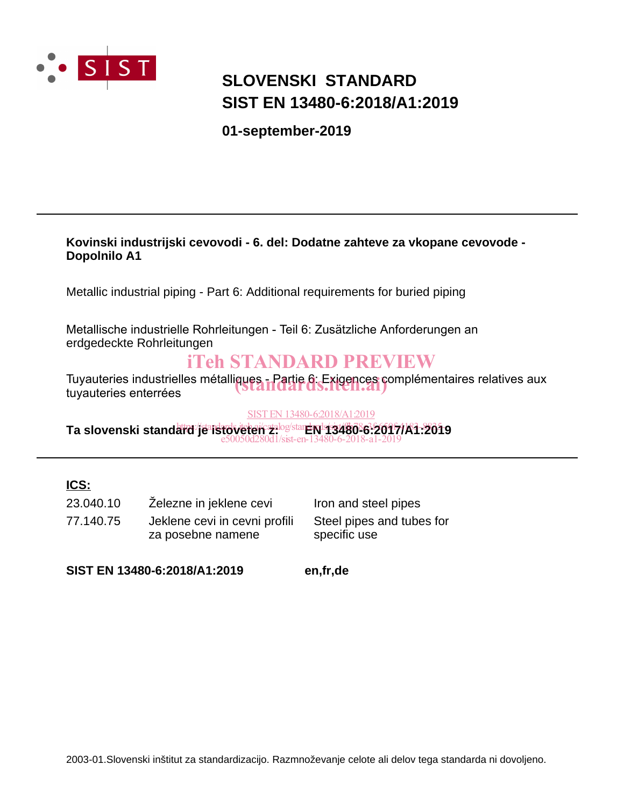

### **SLOVENSKI STANDARD SIST EN 13480-6:2018/A1:2019**

**01-september-2019**

#### **Kovinski industrijski cevovodi - 6. del: Dodatne zahteve za vkopane cevovode - Dopolnilo A1**

Metallic industrial piping - Part 6: Additional requirements for buried piping

Metallische industrielle Rohrleitungen - Teil 6: Zusätzliche Anforderungen an erdgedeckte Rohrleitungen

### iTeh STANDARD PREVIEW

Tuyauteries industrielles métalliques - Partie 6: Exigences complémentaires relatives aux<br>tuvauteries enterrées tuyauteries enterrées

#### SIST EN 13480-6:2018/A1:2019

Ta slovenski standard je istoveten z<sup>alog/standard</sup>3480-6:2017/A1:2019 e50050d280d1/sist-en-13480-6-2018-a1-2019

#### **ICS:**

| 23.040.10 | Železne in jeklene cevi                            |
|-----------|----------------------------------------------------|
| 77.140.75 | Jeklene cevi in cevni profili<br>za posebne namene |
|           |                                                    |

Iron and steel pipes Steel pipes and tubes for specific use

**SIST EN 13480-6:2018/A1:2019 en,fr,de**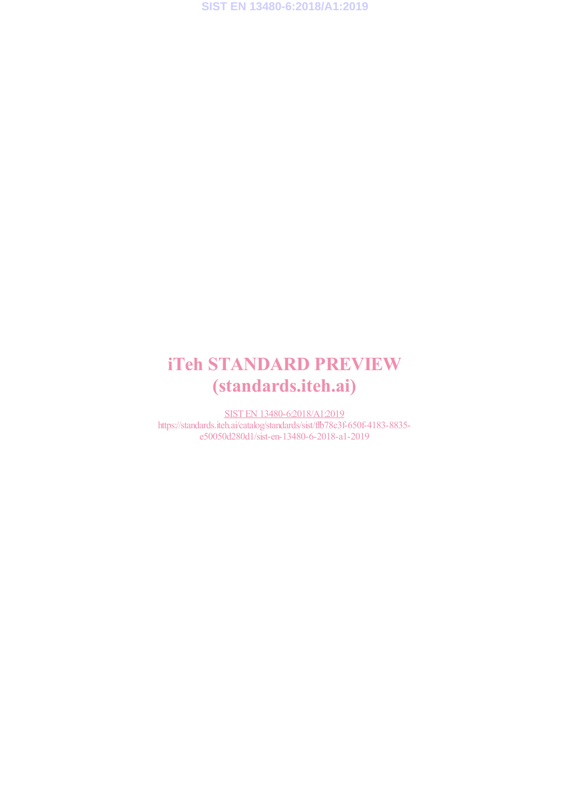## iTeh STANDARD PREVIEW (standards.iteh.ai)

SIST EN 13480-6:2018/A1:2019 https://standards.iteh.ai/catalog/standards/sist/ffb78c3f-650f-4183-8835 e50050d280d1/sist-en-13480-6-2018-a1-2019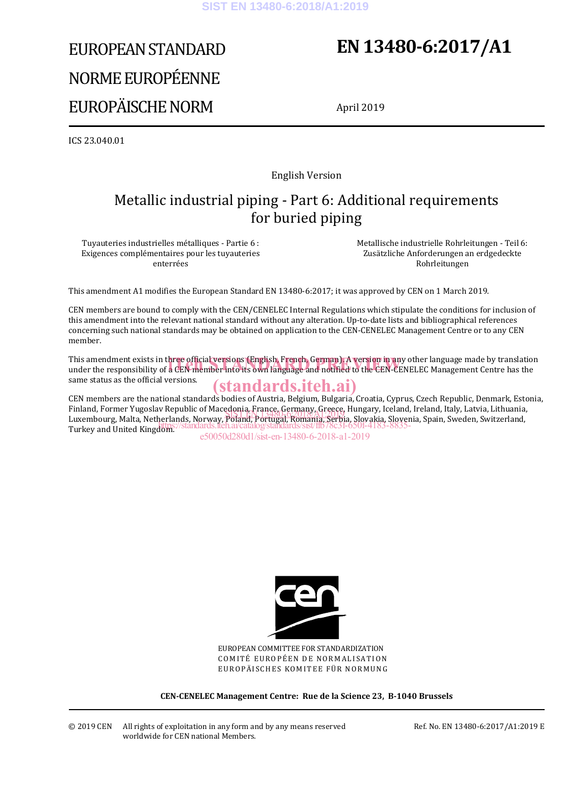# EUROPEAN STANDARD NORME EUROPÉENNE EUROPÄISCHE NORM

## **EN 13480-6:2017/A1**

April 2019

ICS 23.040.01

English Version

### Metallic industrial piping - Part 6: Additional requirements for buried piping

Tuyauteries industrielles métalliques - Partie 6 : Exigences complémentaires pour les tuyauteries enterrées

Metallische industrielle Rohrleitungen - Teil 6: Zusätzliche Anforderungen an erdgedeckte Rohrleitungen

This amendment A1 modifies the European Standard EN 13480-6:2017; it was approved by CEN on 1 March 2019.

CEN members are bound to comply with the CEN/CENELEC Internal Regulations which stipulate the conditions for inclusion of this amendment into the relevant national standard without any alteration. Up-to-date lists and bibliographical references concerning such national standards may be obtained on application to the CEN-CENELEC Management Centre or to any CEN member.

This amendment exists in three official versions (English, French, German). A version in any other language made by translation This amendment exists in three official versions (English, French, German). A version in any other language made by translatio:<br>under the responsibility of a CEN member into its own language and notified to the CEN-CENELEC same status as the official versions.

#### (standards.iteh.ai)

CEN members are the national standards bodies of Austria, Belgium, Bulgaria, Croatia, Cyprus, Czech Republic, Denmark, Estonia, Finland, Former Yugoslav Republic of Macedonia, France, Germany, Greece, Hungary, Iceland, Ireland, Italy, Latvia, Lithuania, rinianu, roriner Tugosiav Republic of Maceuphia, France, Germany, Greece, Hungary, Icelanu, Irelanu, Italy, Latvia, Lithuania,<br>Luxembourg, Malta, Netherlands, Norway, Poland, Portugal, Romania, Serbia, Slovakia, Slovenia, Turkey and United Kingdom. https://standards.iteh.ai/catalog/standards/sist/ffb78c3f-650f-4183-8835-

e50050d280d1/sist-en-13480-6-2018-a1-2019



EUROPEAN COMMITTEE FOR STANDARDIZATION COMITÉ EUROPÉEN DE NORMALISATION EUROPÄISCHES KOMITEE FÜR NORMUNG

**CEN-CENELEC Management Centre: Rue de la Science 23, B-1040 Brussels** 

© 2019 CEN All rights of exploitation in any form and by any means reserved worldwide for CEN national Members.

Ref. No. EN 13480-6:2017/A1:2019 E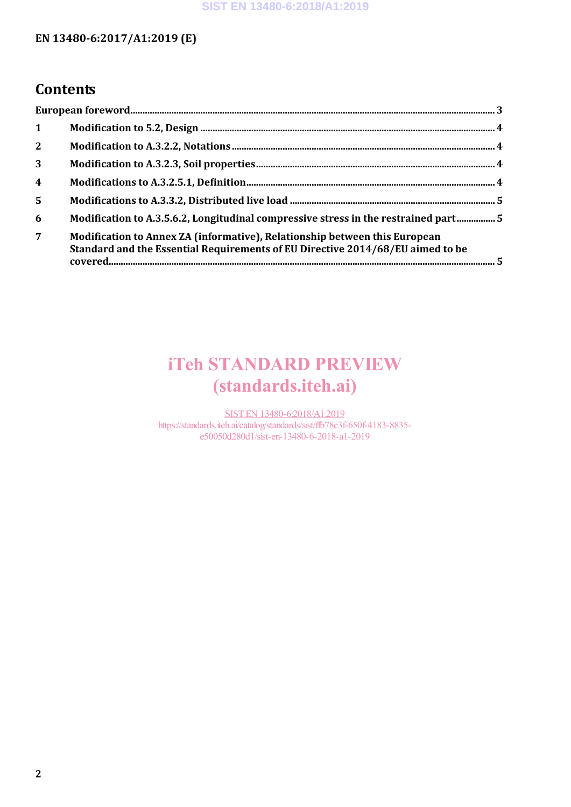#### **EN 13480-6:2017/A1:2019 (E)**

### **Contents**

| $\mathbf{1}$            |                                                                                                                                                              |  |
|-------------------------|--------------------------------------------------------------------------------------------------------------------------------------------------------------|--|
| $2^{\circ}$             |                                                                                                                                                              |  |
| 3                       |                                                                                                                                                              |  |
| $\overline{\mathbf{4}}$ |                                                                                                                                                              |  |
| 5                       |                                                                                                                                                              |  |
| 6                       | Modification to A.3.5.6.2, Longitudinal compressive stress in the restrained part 5                                                                          |  |
| $\overline{7}$          | Modification to Annex ZA (informative), Relationship between this European<br>Standard and the Essential Requirements of EU Directive 2014/68/EU aimed to be |  |

## iTeh STANDARD PREVIEW (standards.iteh.ai)

SIST EN 13480-6:2018/A1:2019 https://standards.iteh.ai/catalog/standards/sist/ffb78c3f-650f-4183-8835 e50050d280d1/sist-en-13480-6-2018-a1-2019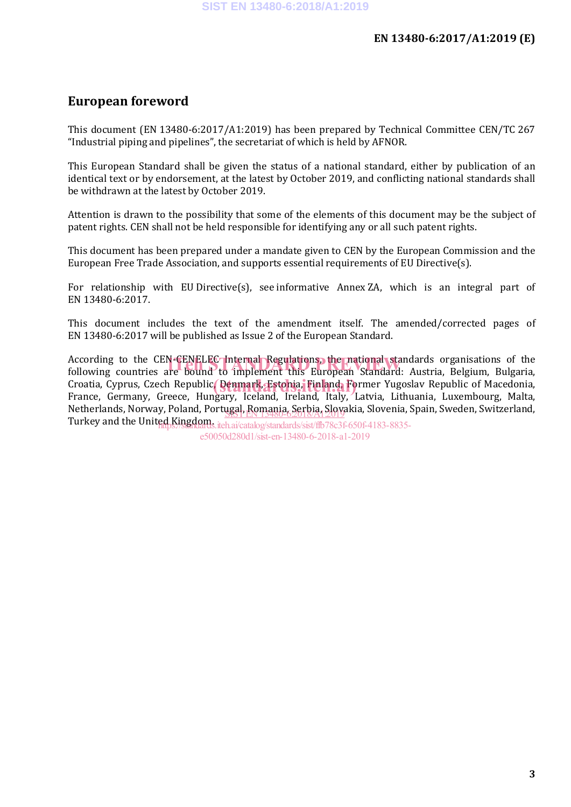#### **EN 13480-6:2017/A1:2019 (E)**

#### **European foreword**

This document (EN 13480-6:2017/A1:2019) has been prepared by Technical Committee CEN/TC 267 "Industrial piping and pipelines", the secretariat of which is held by AFNOR.

This European Standard shall be given the status of a national standard, either by publication of an identical text or by endorsement, at the latest by October 2019, and conflicting national standards shall be withdrawn at the latest by October 2019.

Attention is drawn to the possibility that some of the elements of this document may be the subject of patent rights. CEN shall not be held responsible for identifying any or all such patent rights.

This document has been prepared under a mandate given to CEN by the European Commission and the European Free Trade Association, and supports essential requirements of EU Directive(s).

For relationship with EU Directive(s), see informative Annex ZA, which is an integral part of EN 13480-6:2017.

This document includes the text of the amendment itself. The amended/corrected pages of EN 13480-6:2017 will be published as Issue 2 of the European Standard.

According to the CEN-CENELEC Internal Regulations, the national standards organisations of the According to the CEN-CENELEC Internal Regulations, the national standards organisations of the<br>following countries are bound to implement this European Standard: Austria, Belgium, Bulgaria, Croatia, Cyprus, Czech Republic, Denmark, Estonia, Finland, Former Yugoslav Republic of Macedonia, France, Germany, Greece, Hungary, Iceland, Ireland, Italy, Latvia, Lithuania, Luxembourg, Malta, Netherlands, Norway, Poland, Portugal, Romania, Serbia, Slovakia, Slovenia, Spain, Sweden, Switzerland, Turkey and the United Kingdom. <u>ugat, Romania, Sei 914, Siov</u>a https://standards.iteh.ai/catalog/standards/sist/ffb78c3f-650f-4183-8835-

e50050d280d1/sist-en-13480-6-2018-a1-2019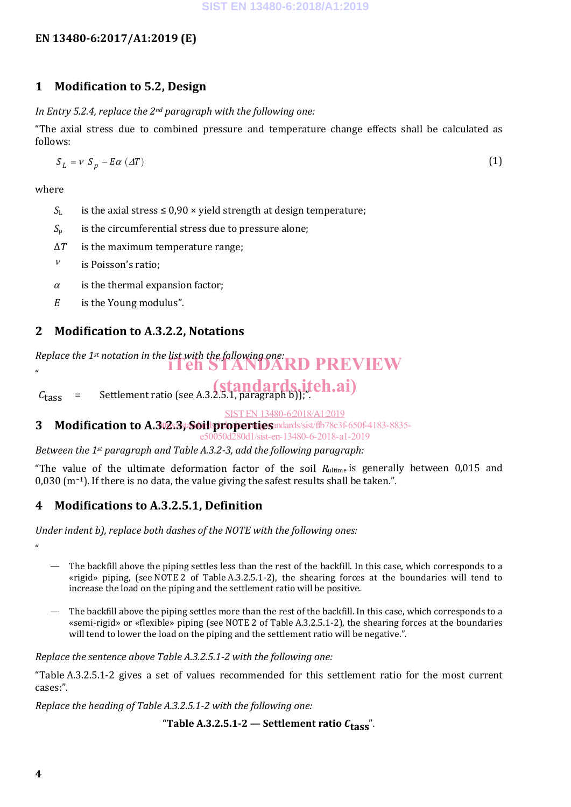#### **EN 13480-6:2017/A1:2019 (E)**

#### **1 Modification to 5.2, Design**

*In Entry 5.2.4, replace the 2nd paragraph with the following one:*

"The axial stress due to combined pressure and temperature change effects shall be calculated as follows:

$$
S_L = v S_p - E\alpha (AT)
$$
 (1)

where

- $S_{L}$  is the axial stress  $\leq 0.90 \times$  yield strength at design temperature;
- *S*<sub>p</sub> is the circumferential stress due to pressure alone;
- Δ*T* is the maximum temperature range;
- $v$  is Poisson's ratio:
- *α* is the thermal expansion factor;
- *E* is the Young modulus"*.*

#### **2 Modification to A.3.2.2, Notations**

# *Replace the 1st notation in the list with the following one:*<br> **iTeh STANDARD PREVIEW**

*<sup>C</sup>*tass <sup>=</sup> Settlement ratio (see A.3.2.5.1, paragraph b));"*.* (standards.iteh.ai)

SIST EN 13480-6:2018/A1:2019

#### 3 **Modification to A.3t2.3; Soil properties** and ards/sist/ffb78c3f-650f-4183-8835e50050d280d1/sist-en-13480-6-2018-a1-2019

*Between the 1st paragraph and Table A.3.2-3, add the following paragraph:*

"The value of the ultimate deformation factor of the soil  $R_{ultime}$  is generally between 0,015 and 0,030 (m<sup>−</sup>1). If there is no data, the value giving the safest results shall be taken."*.*

#### **4 Modifications to A.3.2.5.1, Definition**

*Under indent b), replace both dashes of the NOTE with the following ones:*

"

"

- The backfill above the piping settles less than the rest of the backfill. In this case, which corresponds to a «rigid» piping, (see NOTE 2 of Table A.3.2.5.1-2), the shearing forces at the boundaries will tend to increase the load on the piping and the settlement ratio will be positive.
- The backfill above the piping settles more than the rest of the backfill. In this case, which corresponds to a «semi-rigid» or «flexible» piping (see NOTE 2 of Table A.3.2.5.1-2), the shearing forces at the boundaries will tend to lower the load on the piping and the settlement ratio will be negative."*.*

*Replace the sentence above Table A.3.2.5.1-2 with the following one:*

"Table A.3.2.5.1-2 gives a set of values recommended for this settlement ratio for the most current cases:"*.*

*Replace the heading of Table A.3.2.5.1-2 with the following one:*

"Table A.3.2.5.1-2  $-$  Settlement ratio  $C_{\text{fass}}$ ".